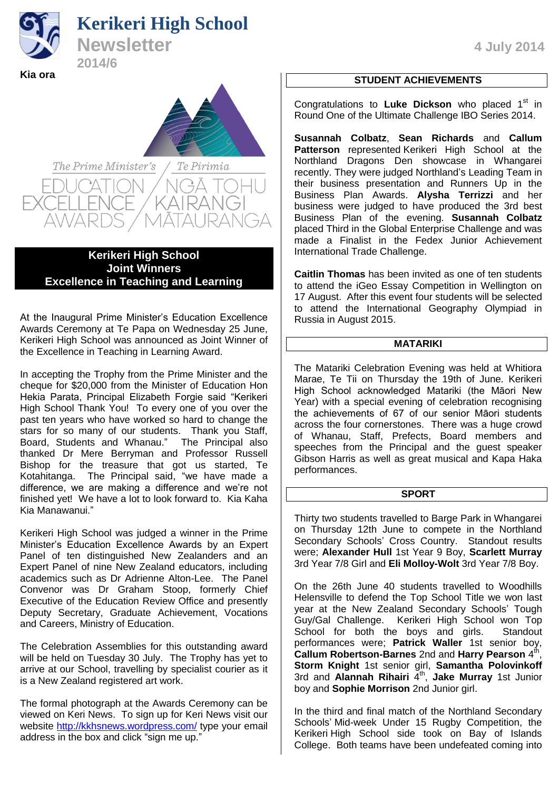# **Kerikeri High School**



**Newsletter** 4 July 2014 **2014/6** 



**Kerikeri High School Joint Winners Excellence in Teaching and Learning**

At the Inaugural Prime Minister's Education Excellence Awards Ceremony at Te Papa on Wednesday 25 June, Kerikeri High School was announced as Joint Winner of the Excellence in Teaching in Learning Award.

In accepting the Trophy from the Prime Minister and the cheque for \$20,000 from the Minister of Education Hon Hekia Parata, Principal Elizabeth Forgie said "Kerikeri High School Thank You! To every one of you over the past ten years who have worked so hard to change the stars for so many of our students. Thank you Staff, Board, Students and Whanau." The Principal also thanked Dr Mere Berryman and Professor Russell Bishop for the treasure that got us started, Te Kotahitanga. The Principal said, "we have made a difference, we are making a difference and we're not finished yet! We have a lot to look forward to. Kia Kaha Kia Manawanui."

Kerikeri High School was judged a winner in the Prime Minister's Education Excellence Awards by an Expert Panel of ten distinguished New Zealanders and an Expert Panel of nine New Zealand educators, including academics such as Dr Adrienne Alton-Lee. The Panel Convenor was Dr Graham Stoop, formerly Chief Executive of the Education Review Office and presently Deputy Secretary, Graduate Achievement, Vocations and Careers, Ministry of Education.

The Celebration Assemblies for this outstanding award will be held on Tuesday 30 July. The Trophy has yet to arrive at our School, travelling by specialist courier as it is a New Zealand registered art work.

The formal photograph at the Awards Ceremony can be viewed on Keri News. To sign up for Keri News visit our website<http://kkhsnews.wordpress.com/> type your email address in the box and click "sign me up."

# **STUDENT ACHIEVEMENTS**

Congratulations to Luke Dickson who placed 1<sup>st</sup> in Round One of the Ultimate Challenge IBO Series 2014.

**Susannah Colbatz**, **Sean Richards** and **Callum Patterson** represented Kerikeri High School at the Northland Dragons Den showcase in Whangarei recently. They were judged Northland's Leading Team in their business presentation and Runners Up in the Business Plan Awards. Alysha Terrizzi and her business were judged to have produced the 3rd best Business Plan of the evening. **Susannah Colbatz** placed Third in the Global Enterprise Challenge and was made a Finalist in the Fedex Junior Achievement International Trade Challenge.

**Caitlin Thomas** has been invited as one of ten students to attend the iGeo Essay Competition in Wellington on 17 August. After this event four students will be selected to attend the International Geography Olympiad in Russia in August 2015.

## **MATARIKI**

The Matariki Celebration Evening was held at Whitiora Marae, Te Tii on Thursday the 19th of June. Kerikeri High School acknowledged Matariki (the Māori New Year) with a special evening of celebration recognising the achievements of 67 of our senior Māori students across the four cornerstones. There was a huge crowd of Whanau, Staff, Prefects, Board members and speeches from the Principal and the guest speaker Gibson Harris as well as great musical and Kapa Haka performances.

## **SPORT**

Thirty two students travelled to Barge Park in Whangarei on Thursday 12th June to compete in the Northland Secondary Schools' Cross Country. Standout results were; **Alexander Hull** 1st Year 9 Boy, **Scarlett Murray** 3rd Year 7/8 Girl and **Eli Molloy-Wolt** 3rd Year 7/8 Boy.

On the 26th June 40 students travelled to Woodhills Helensville to defend the Top School Title we won last year at the New Zealand Secondary Schools' Tough Guy/Gal Challenge. Kerikeri High School won Top School for both the boys and girls. Standout performances were; **Patrick Waller** 1st senior boy, **Callum Robertson-Barnes** 2nd and Harry Pearson 4<sup>th</sup> .<br>י **Storm Knight** 1st senior girl, **Samantha Polovinkoff** 3rd and Alannah Rihairi 4<sup>th</sup>, Jake Murray 1st Junior boy and **Sophie Morrison** 2nd Junior girl.

In the third and final match of the Northland Secondary Schools' Mid-week Under 15 Rugby Competition, the Kerikeri High School side took on Bay of Islands College. Both teams have been undefeated coming into